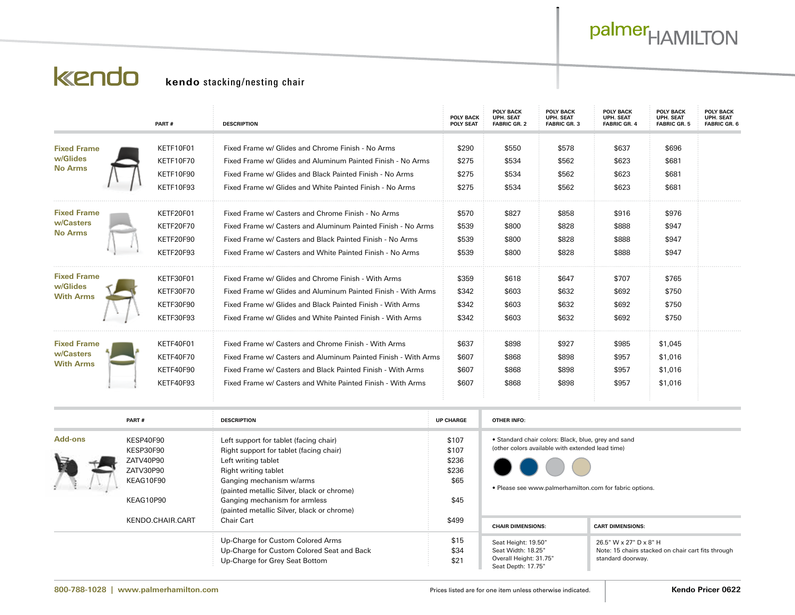## palmer<sub>HAMILTON</sub>

## kendo

## **kendo** stacking/nesting chair

|                                                    |                        | PART#            | <b>DESCRIPTION</b>                                                     | <b>POLY BACK</b><br><b>POLY SEAT</b> | <b>POLY BACK</b><br>UPH. SEAT<br><b>FABRIC GR. 2</b>                     | <b>POLY BACK</b><br>UPH. SEAT<br><b>FABRIC GR. 3</b> | <b>POLY BACK</b><br>UPH. SEAT<br><b>FABRIC GR. 4</b> | <b>POLY BACK</b><br>UPH. SEAT<br><b>FABRIC GR. 5</b> | POLY BACK<br>UPH. SEAT<br>FABRIC GR. 6 |
|----------------------------------------------------|------------------------|------------------|------------------------------------------------------------------------|--------------------------------------|--------------------------------------------------------------------------|------------------------------------------------------|------------------------------------------------------|------------------------------------------------------|----------------------------------------|
| <b>Fixed Frame</b>                                 |                        | KETF10F01        | Fixed Frame w/ Glides and Chrome Finish - No Arms                      | \$290                                | \$550                                                                    | \$578                                                | \$637                                                | \$696                                                |                                        |
| w/Glides                                           |                        | KETF10F70        | Fixed Frame w/ Glides and Aluminum Painted Finish - No Arms            | \$275                                | \$534                                                                    | \$562                                                | \$623                                                | \$681                                                |                                        |
| <b>No Arms</b>                                     |                        | KETF10F90        | Fixed Frame w/ Glides and Black Painted Finish - No Arms               | \$275                                | \$534                                                                    | \$562                                                | \$623                                                | \$681                                                |                                        |
|                                                    |                        |                  |                                                                        |                                      |                                                                          |                                                      |                                                      |                                                      |                                        |
|                                                    |                        | KETF10F93        | Fixed Frame w/ Glides and White Painted Finish - No Arms               | \$275                                | \$534                                                                    | \$562                                                | \$623                                                | \$681                                                |                                        |
| <b>Fixed Frame</b>                                 |                        | KETF20F01        | Fixed Frame w/ Casters and Chrome Finish - No Arms                     | \$570                                | \$827                                                                    | \$858                                                | \$916                                                | \$976                                                |                                        |
| w/Casters<br><b>No Arms</b>                        |                        | KETF20F70        | Fixed Frame w/ Casters and Aluminum Painted Finish - No Arms           | \$539                                | \$800                                                                    | \$828                                                | \$888                                                | \$947                                                |                                        |
|                                                    |                        | KETF20F90        | Fixed Frame w/ Casters and Black Painted Finish - No Arms              | \$539                                | \$800                                                                    | \$828                                                | \$888                                                | \$947                                                |                                        |
|                                                    |                        | KETF20F93        | Fixed Frame w/ Casters and White Painted Finish - No Arms              | \$539                                | \$800                                                                    | \$828                                                | \$888                                                | \$947                                                |                                        |
| <b>Fixed Frame</b><br>w/Glides<br><b>With Arms</b> |                        | KETF30F01        | Fixed Frame w/ Glides and Chrome Finish - With Arms                    | \$359                                | \$618                                                                    | \$647                                                | \$707                                                | \$765                                                |                                        |
|                                                    |                        | KETF30F70        |                                                                        |                                      |                                                                          |                                                      |                                                      | \$750                                                |                                        |
|                                                    |                        |                  | Fixed Frame w/ Glides and Aluminum Painted Finish - With Arms          | \$342                                | \$603                                                                    | \$632                                                | \$692                                                |                                                      |                                        |
|                                                    |                        | KETF30F90        | Fixed Frame w/ Glides and Black Painted Finish - With Arms             | \$342                                | \$603                                                                    | \$632                                                | \$692                                                | \$750                                                |                                        |
|                                                    |                        | KETF30F93        | Fixed Frame w/ Glides and White Painted Finish - With Arms             | \$342                                | \$603                                                                    | \$632                                                | \$692                                                | \$750                                                |                                        |
| <b>Fixed Frame</b>                                 |                        | KETF40F01        | Fixed Frame w/ Casters and Chrome Finish - With Arms                   | \$637                                | \$898                                                                    | \$927                                                | \$985                                                | \$1,045                                              |                                        |
| w/Casters                                          |                        | KETF40F70        | Fixed Frame w/ Casters and Aluminum Painted Finish - With Arms         | \$607                                | \$868                                                                    | \$898                                                | \$957                                                | \$1,016                                              |                                        |
| <b>With Arms</b>                                   |                        | KETF40F90        | Fixed Frame w/ Casters and Black Painted Finish - With Arms            | \$607                                | \$868                                                                    | \$898                                                | \$957                                                | \$1,016                                              |                                        |
|                                                    |                        | KETF40F93        | Fixed Frame w/ Casters and White Painted Finish - With Arms            | \$607                                | \$868                                                                    | \$898                                                | \$957                                                | \$1,016                                              |                                        |
|                                                    |                        |                  |                                                                        |                                      |                                                                          |                                                      |                                                      |                                                      |                                        |
| PART#                                              |                        |                  | <b>DESCRIPTION</b>                                                     | <b>UP CHARGE</b>                     | <b>OTHER INFO:</b>                                                       |                                                      |                                                      |                                                      |                                        |
| <b>Add-ons</b>                                     | KESP40F90              |                  | Left support for tablet (facing chair)                                 | \$107                                | · Standard chair colors: Black, blue, grey and sand                      |                                                      |                                                      |                                                      |                                        |
|                                                    | KESP30F90              |                  | Right support for tablet (facing chair)                                | \$107<br>\$236                       | (other colors available with extended lead time)                         |                                                      |                                                      |                                                      |                                        |
|                                                    | ZATV40P90              |                  | Left writing tablet                                                    |                                      |                                                                          |                                                      |                                                      |                                                      |                                        |
|                                                    | ZATV30P90<br>KEAG10F90 |                  | Right writing tablet                                                   | \$236<br>\$65                        |                                                                          |                                                      |                                                      |                                                      |                                        |
|                                                    |                        |                  | Ganging mechanism w/arms<br>(painted metallic Silver, black or chrome) |                                      | • Please see www.palmerhamilton.com for fabric options.                  |                                                      |                                                      |                                                      |                                        |
| KEAG10P90                                          |                        |                  | Ganging mechanism for armless                                          | \$45                                 |                                                                          |                                                      |                                                      |                                                      |                                        |
|                                                    |                        |                  | (painted metallic Silver, black or chrome)                             | \$499                                |                                                                          |                                                      |                                                      |                                                      |                                        |
|                                                    |                        | KENDO.CHAIR.CART | Chair Cart                                                             |                                      | <b>CHAIR DIMENSIONS:</b>                                                 |                                                      | <b>CART DIMENSIONS:</b>                              |                                                      |                                        |
|                                                    |                        |                  | Up-Charge for Custom Colored Arms                                      | \$15                                 | Seat Height: 19.50"                                                      |                                                      | 26.5" W x 27" D x 8" H                               |                                                      |                                        |
|                                                    |                        |                  | Up-Charge for Custom Colored Seat and Back                             | \$34                                 | Seat Width: 18.25"<br>Note: 15 chairs stacked on chair cart fits through |                                                      |                                                      |                                                      |                                        |
|                                                    |                        |                  | Up-Charge for Grey Seat Bottom                                         | \$21                                 | Overall Height: 31.75"<br>standard doorway.<br>Seat Depth: 17.75"        |                                                      |                                                      |                                                      |                                        |